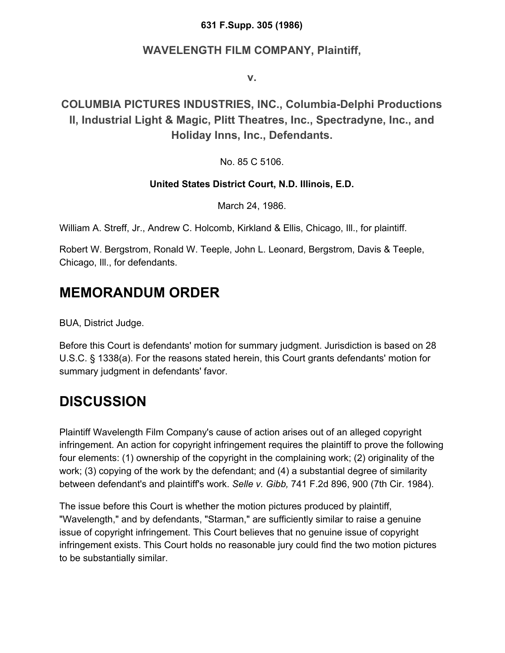#### **631 F.Supp. 305 (1986)**

#### **WAVELENGTH FILM COMPANY, Plaintiff,**

**v.**

### **COLUMBIA PICTURES INDUSTRIES, INC., Columbia-Delphi Productions II, Industrial Light & Magic, Plitt Theatres, Inc., Spectradyne, Inc., and Holiday Inns, Inc., Defendants.**

No. 85 C 5106.

#### **United States District Court, N.D. Illinois, E.D.**

March 24, 1986.

William A. Streff, Jr., Andrew C. Holcomb, Kirkland & Ellis, Chicago, Ill., for plaintiff.

Robert W. Bergstrom, Ronald W. Teeple, John L. Leonard, Bergstrom, Davis & Teeple, Chicago, Ill., for defendants.

## **MEMORANDUM ORDER**

BUA, District Judge.

Before this Court is defendants' motion for summary judgment. Jurisdiction is based on 28 U.S.C. § 1338(a). For the reasons stated herein, this Court grants defendants' motion for summary judgment in defendants' favor.

### **DISCUSSION**

Plaintiff Wavelength Film Company's cause of action arises out of an alleged copyright infringement. An action for copyright infringement requires the plaintiff to prove the following four elements: (1) ownership of the copyright in the complaining work; (2) originality of the work; (3) copying of the work by the defendant; and (4) a substantial degree of similarity between defendant's and plaintiff's work. *Selle v. Gibb,* 741 F.2d 896, 900 (7th Cir. 1984).

The issue before this Court is whether the motion pictures produced by plaintiff, "Wavelength," and by defendants, "Starman," are sufficiently similar to raise a genuine issue of copyright infringement. This Court believes that no genuine issue of copyright infringement exists. This Court holds no reasonable jury could find the two motion pictures to be substantially similar.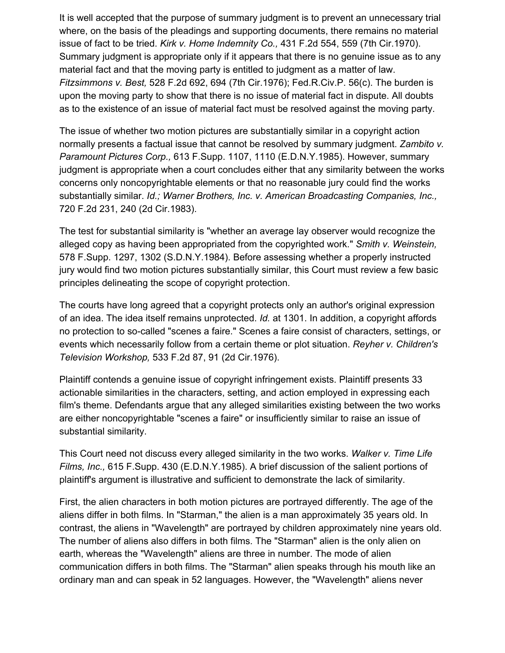It is well accepted that the purpose of summary judgment is to prevent an unnecessary trial where, on the basis of the pleadings and supporting documents, there remains no material issue of fact to be tried. *Kirk v. Home Indemnity Co.,* 431 F.2d 554, 559 (7th Cir.1970). Summary judgment is appropriate only if it appears that there is no genuine issue as to any material fact and that the moving party is entitled to judgment as a matter of law. *Fitzsimmons v. Best,* 528 F.2d 692, 694 (7th Cir.1976); Fed.R.Civ.P. 56(c). The burden is upon the moving party to show that there is no issue of material fact in dispute. All doubts as to the existence of an issue of material fact must be resolved against the moving party.

The issue of whether two motion pictures are substantially similar in a copyright action normally presents a factual issue that cannot be resolved by summary judgment. *Zambito v. Paramount Pictures Corp.,* 613 F.Supp. 1107, 1110 (E.D.N.Y.1985). However, summary judgment is appropriate when a court concludes either that any similarity between the works concerns only noncopyrightable elements or that no reasonable jury could find the works substantially similar. *Id.; Warner Brothers, Inc. v. American Broadcasting Companies, Inc.,* 720 F.2d 231, 240 (2d Cir.1983).

The test for substantial similarity is "whether an average lay observer would recognize the alleged copy as having been appropriated from the copyrighted work." *Smith v. Weinstein,* 578 F.Supp. 1297, 1302 (S.D.N.Y.1984). Before assessing whether a properly instructed jury would find two motion pictures substantially similar, this Court must review a few basic principles delineating the scope of copyright protection.

The courts have long agreed that a copyright protects only an author's original expression of an idea. The idea itself remains unprotected. *Id.* at 1301. In addition, a copyright affords no protection to so-called "scenes a faire." Scenes a faire consist of characters, settings, or events which necessarily follow from a certain theme or plot situation. *Reyher v. Children's Television Workshop,* 533 F.2d 87, 91 (2d Cir.1976).

Plaintiff contends a genuine issue of copyright infringement exists. Plaintiff presents 33 actionable similarities in the characters, setting, and action employed in expressing each film's theme. Defendants argue that any alleged similarities existing between the two works are either noncopyrightable "scenes a faire" or insufficiently similar to raise an issue of substantial similarity.

This Court need not discuss every alleged similarity in the two works. *Walker v. Time Life Films, Inc.,* 615 F.Supp. 430 (E.D.N.Y.1985). A brief discussion of the salient portions of plaintiff's argument is illustrative and sufficient to demonstrate the lack of similarity.

First, the alien characters in both motion pictures are portrayed differently. The age of the aliens differ in both films. In "Starman," the alien is a man approximately 35 years old. In contrast, the aliens in "Wavelength" are portrayed by children approximately nine years old. The number of aliens also differs in both films. The "Starman" alien is the only alien on earth, whereas the "Wavelength" aliens are three in number. The mode of alien communication differs in both films. The "Starman" alien speaks through his mouth like an ordinary man and can speak in 52 languages. However, the "Wavelength" aliens never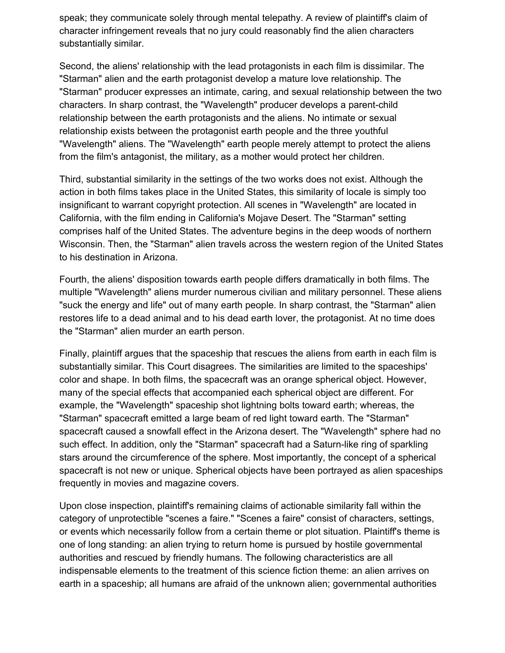speak; they communicate solely through mental telepathy. A review of plaintiff's claim of character infringement reveals that no jury could reasonably find the alien characters substantially similar.

Second, the aliens' relationship with the lead protagonists in each film is dissimilar. The "Starman" alien and the earth protagonist develop a mature love relationship. The "Starman" producer expresses an intimate, caring, and sexual relationship between the two characters. In sharp contrast, the "Wavelength" producer develops a parent-child relationship between the earth protagonists and the aliens. No intimate or sexual relationship exists between the protagonist earth people and the three youthful "Wavelength" aliens. The "Wavelength" earth people merely attempt to protect the aliens from the film's antagonist, the military, as a mother would protect her children.

Third, substantial similarity in the settings of the two works does not exist. Although the action in both films takes place in the United States, this similarity of locale is simply too insignificant to warrant copyright protection. All scenes in "Wavelength" are located in California, with the film ending in California's Mojave Desert. The "Starman" setting comprises half of the United States. The adventure begins in the deep woods of northern Wisconsin. Then, the "Starman" alien travels across the western region of the United States to his destination in Arizona.

Fourth, the aliens' disposition towards earth people differs dramatically in both films. The multiple "Wavelength" aliens murder numerous civilian and military personnel. These aliens "suck the energy and life" out of many earth people. In sharp contrast, the "Starman" alien restores life to a dead animal and to his dead earth lover, the protagonist. At no time does the "Starman" alien murder an earth person.

Finally, plaintiff argues that the spaceship that rescues the aliens from earth in each film is substantially similar. This Court disagrees. The similarities are limited to the spaceships' color and shape. In both films, the spacecraft was an orange spherical object. However, many of the special effects that accompanied each spherical object are different. For example, the "Wavelength" spaceship shot lightning bolts toward earth; whereas, the "Starman" spacecraft emitted a large beam of red light toward earth. The "Starman" spacecraft caused a snowfall effect in the Arizona desert. The "Wavelength" sphere had no such effect. In addition, only the "Starman" spacecraft had a Saturn-like ring of sparkling stars around the circumference of the sphere. Most importantly, the concept of a spherical spacecraft is not new or unique. Spherical objects have been portrayed as alien spaceships frequently in movies and magazine covers.

Upon close inspection, plaintiff's remaining claims of actionable similarity fall within the category of unprotectible "scenes a faire." "Scenes a faire" consist of characters, settings, or events which necessarily follow from a certain theme or plot situation. Plaintiff's theme is one of long standing: an alien trying to return home is pursued by hostile governmental authorities and rescued by friendly humans. The following characteristics are all indispensable elements to the treatment of this science fiction theme: an alien arrives on earth in a spaceship; all humans are afraid of the unknown alien; governmental authorities